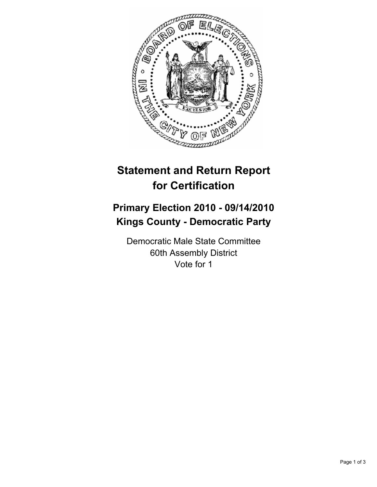

# **Statement and Return Report for Certification**

## **Primary Election 2010 - 09/14/2010 Kings County - Democratic Party**

Democratic Male State Committee 60th Assembly District Vote for 1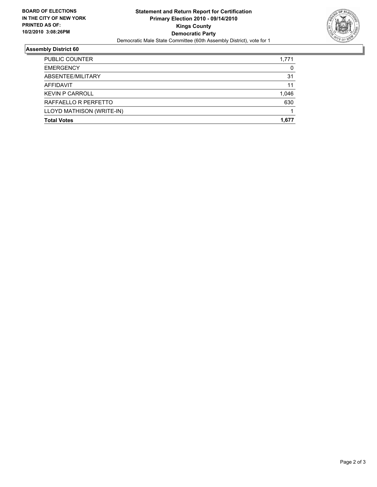

### **Assembly District 60**

| <b>Total Votes</b>        | 1.677 |
|---------------------------|-------|
| LLOYD MATHISON (WRITE-IN) |       |
| RAFFAELLO R PERFETTO      | 630   |
| <b>KEVIN P CARROLL</b>    | 1,046 |
| <b>AFFIDAVIT</b>          | 11    |
| ABSENTEE/MILITARY         | 31    |
| <b>EMERGENCY</b>          | 0     |
| <b>PUBLIC COUNTER</b>     | 1,771 |
|                           |       |